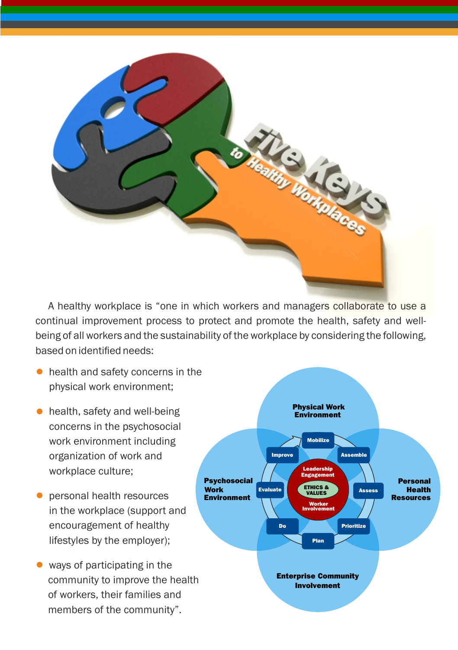

A healthy workplace is "one in which workers and managers collaborate to use a continual improvement process to protect and promote the health, safety and wellbeing of all workers and the sustainability of the workplace by considering the following, based on identified needs:

- health and safety concerns in the physical work environment;
- health, safety and well-being concerns in the psychosocial work environment including organization of work and workplace culture;
- personal health resources in the workplace (support and encouragement of healthy lifestyles by the employer);
- ways of participating in the community to improve the health of workers, their families and members of the community".

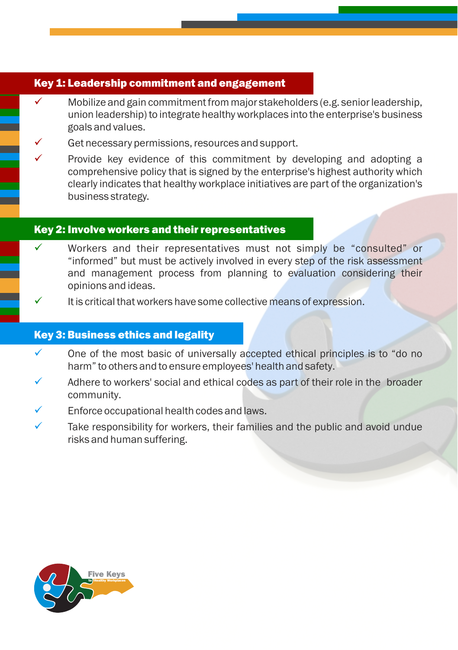# **Key 1: Leadership commitment and engagement**

- Mobilize and gain commitment from major stakeholders (e.g. senior leadership, union leadership) to integrate healthy workplaces into the enterprise's business goals and values.
- Get necessary permissions, resources and support.
- Provide key evidence of this commitment by developing and adopting a comprehensive policy that is signed by the enterprise's highest authority which clearly indicates that healthy workplace initiatives are part of the organization's business strategy.

## Key 2: Involve workers and their representatives

- Workers and their representatives must not simply be "consulted" or "informed" but must be actively involved in every step of the risk assessment and management process from planning to evaluation considering their opinions and ideas.
- It is critical that workers have some collective means of expression.

#### Key 3: Business ethics and legality

- One of the most basic of universally accepted ethical principles is to "do no harm" to others and to ensure employees' health and safety.
- Adhere to workers' social and ethical codes as part of their role in the broader community.
- Enforce occupational health codes and laws.
- Take responsibility for workers, their families and the public and avoid undue risks and human suffering.

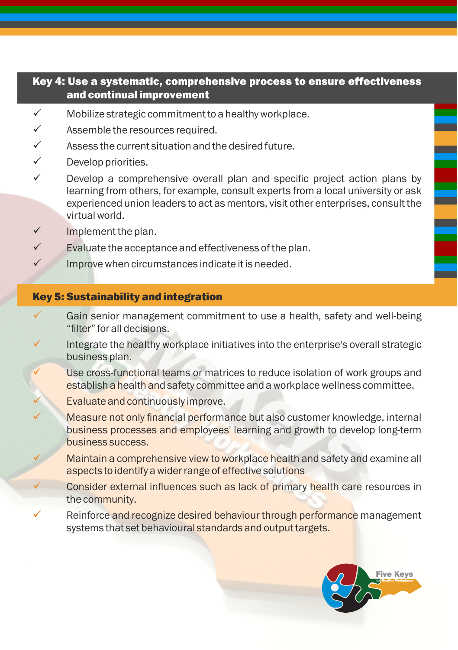# Key 4: Use a systematic, comprehensive process to ensure effectiveness and continual improvement

- $\checkmark$  Mobilize strategic commitment to a healthy workplace.
- $\checkmark$  Assemble the resources required.
- Assess the current situation and the desired future.
- $\checkmark$  Develop priorities.
- $\checkmark$  Develop a comprehensive overall plan and specific project action plans by learning from others, for example, consult experts from a local university or ask experienced union leaders to act as mentors, visit other enterprises, consult the virtual world.
- $\checkmark$  Implement the plan.
- Evaluate the acceptance and effectiveness of the plan.
- Improve when circumstances indicate it is needed.

## Key 5: Sustainability and integration

- Gain senior management commitment to use a health, safety and well-being "filter" for all decisions.
- Integrate the healthy workplace initiatives into the enterprise's overall strategic business plan.
- Use cross-functional teams or matrices to reduce isolation of work groups and establish a health and safety committee and a workplace wellness committee.
- Evaluate and continuously improve.
- Measure not only financial performance but also customer knowledge, internal business processes and employees' learning and growth to develop long-term business success.
- Maintain a comprehensive view to workplace health and safety and examine all aspects to identify a wider range of effective solutions
- Consider external influences such as lack of primary health care resources in the community.
- Reinforce and recognize desired behaviour through performance management systems that set behavioural standards and output targets.